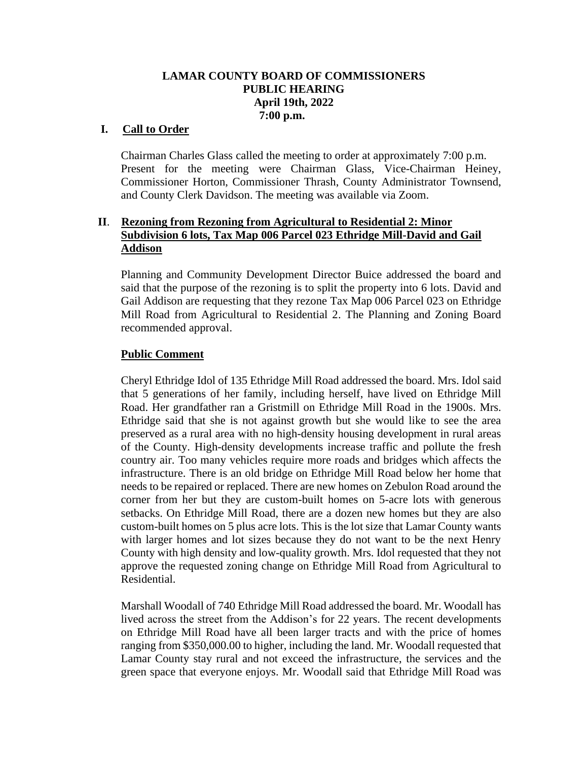# **LAMAR COUNTY BOARD OF COMMISSIONERS PUBLIC HEARING April 19th, 2022 7:00 p.m.**

### **I. Call to Order**

Chairman Charles Glass called the meeting to order at approximately 7:00 p.m. Present for the meeting were Chairman Glass, Vice-Chairman Heiney, Commissioner Horton, Commissioner Thrash, County Administrator Townsend, and County Clerk Davidson. The meeting was available via Zoom.

# **II**. **Rezoning from Rezoning from Agricultural to Residential 2: Minor Subdivision 6 lots, Tax Map 006 Parcel 023 Ethridge Mill-David and Gail Addison**

Planning and Community Development Director Buice addressed the board and said that the purpose of the rezoning is to split the property into 6 lots. David and Gail Addison are requesting that they rezone Tax Map 006 Parcel 023 on Ethridge Mill Road from Agricultural to Residential 2. The Planning and Zoning Board recommended approval.

### **Public Comment**

Cheryl Ethridge Idol of 135 Ethridge Mill Road addressed the board. Mrs. Idol said that 5 generations of her family, including herself, have lived on Ethridge Mill Road. Her grandfather ran a Gristmill on Ethridge Mill Road in the 1900s. Mrs. Ethridge said that she is not against growth but she would like to see the area preserved as a rural area with no high-density housing development in rural areas of the County. High-density developments increase traffic and pollute the fresh country air. Too many vehicles require more roads and bridges which affects the infrastructure. There is an old bridge on Ethridge Mill Road below her home that needs to be repaired or replaced. There are new homes on Zebulon Road around the corner from her but they are custom-built homes on 5-acre lots with generous setbacks. On Ethridge Mill Road, there are a dozen new homes but they are also custom-built homes on 5 plus acre lots. This is the lot size that Lamar County wants with larger homes and lot sizes because they do not want to be the next Henry County with high density and low-quality growth. Mrs. Idol requested that they not approve the requested zoning change on Ethridge Mill Road from Agricultural to Residential.

Marshall Woodall of 740 Ethridge Mill Road addressed the board. Mr. Woodall has lived across the street from the Addison's for 22 years. The recent developments on Ethridge Mill Road have all been larger tracts and with the price of homes ranging from \$350,000.00 to higher, including the land. Mr. Woodall requested that Lamar County stay rural and not exceed the infrastructure, the services and the green space that everyone enjoys. Mr. Woodall said that Ethridge Mill Road was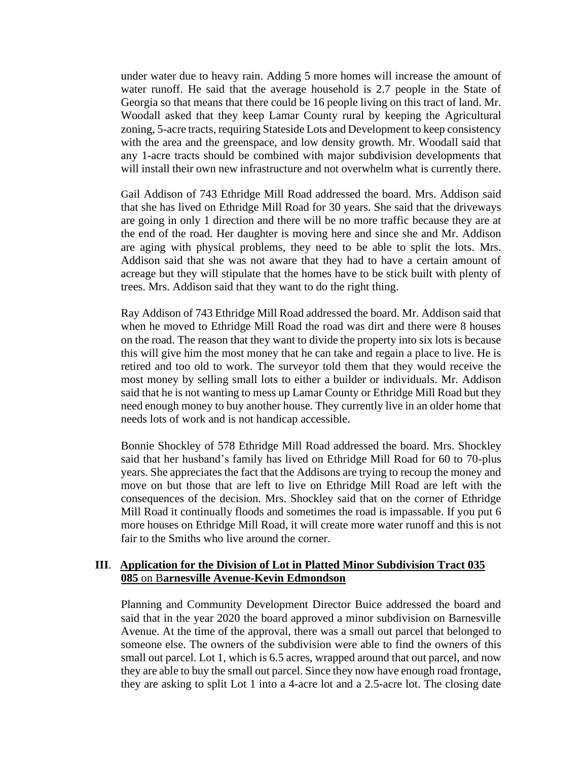under water due to heavy rain. Adding 5 more homes will increase the amount of water runoff. He said that the average household is 2.7 people in the State of Georgia so that means that there could be 16 people living on this tract of land. Mr. Woodall asked that they keep Lamar County rural by keeping the Agricultural zoning, 5-acre tracts, requiring Stateside Lots and Development to keep consistency with the area and the greenspace, and low density growth. Mr. Woodall said that any 1-acre tracts should be combined with major subdivision developments that will install their own new infrastructure and not overwhelm what is currently there.

Gail Addison of 743 Ethridge Mill Road addressed the board. Mrs. Addison said that she has lived on Ethridge Mill Road for 30 years. She said that the driveways are going in only 1 direction and there will be no more traffic because they are at the end of the road. Her daughter is moving here and since she and Mr. Addison are aging with physical problems, they need to be able to split the lots. Mrs. Addison said that she was not aware that they had to have a certain amount of acreage but they will stipulate that the homes have to be stick built with plenty of trees. Mrs. Addison said that they want to do the right thing.

Ray Addison of 743 Ethridge Mill Road addressed the board. Mr. Addison said that when he moved to Ethridge Mill Road the road was dirt and there were 8 houses on the road. The reason that they want to divide the property into six lots is because this will give him the most money that he can take and regain a place to live. He is retired and too old to work. The surveyor told them that they would receive the most money by selling small lots to either a builder or individuals. Mr. Addison said that he is not wanting to mess up Lamar County or Ethridge Mill Road but they need enough money to buy another house. They currently live in an older home that needs lots of work and is not handicap accessible.

Bonnie Shockley of 578 Ethridge Mill Road addressed the board. Mrs. Shockley said that her husband's family has lived on Ethridge Mill Road for 60 to 70-plus years. She appreciates the fact that the Addisons are trying to recoup the money and move on but those that are left to live on Ethridge Mill Road are left with the consequences of the decision. Mrs. Shockley said that on the corner of Ethridge Mill Road it continually floods and sometimes the road is impassable. If you put 6 more houses on Ethridge Mill Road, it will create more water runoff and this is not fair to the Smiths who live around the corner.

#### **III**. **Application for the Division of Lot in Platted Minor Subdivision Tract 035 085** on B**arnesville Avenue-Kevin Edmondson**

Planning and Community Development Director Buice addressed the board and said that in the year 2020 the board approved a minor subdivision on Barnesville Avenue. At the time of the approval, there was a small out parcel that belonged to someone else. The owners of the subdivision were able to find the owners of this small out parcel. Lot 1, which is 6.5 acres, wrapped around that out parcel, and now they are able to buy the small out parcel. Since they now have enough road frontage, they are asking to split Lot 1 into a 4-acre lot and a 2.5-acre lot. The closing date